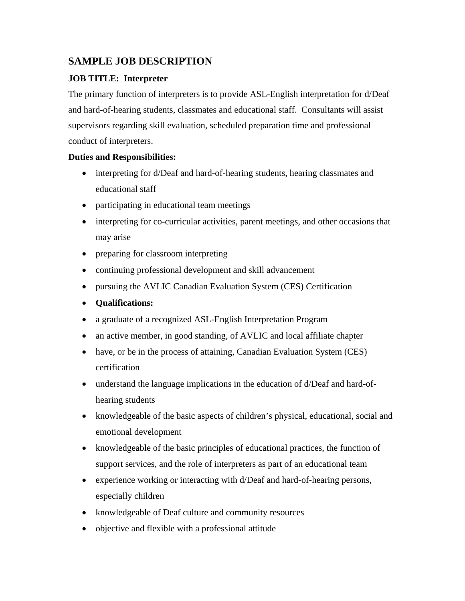## **SAMPLE JOB DESCRIPTION**

## **JOB TITLE: Interpreter**

The primary function of interpreters is to provide ASL-English interpretation for d/Deaf and hard-of-hearing students, classmates and educational staff. Consultants will assist supervisors regarding skill evaluation, scheduled preparation time and professional conduct of interpreters.

## **Duties and Responsibilities:**

- interpreting for d/Deaf and hard-of-hearing students, hearing classmates and educational staff
- participating in educational team meetings
- interpreting for co-curricular activities, parent meetings, and other occasions that may arise
- preparing for classroom interpreting
- continuing professional development and skill advancement
- pursuing the AVLIC Canadian Evaluation System (CES) Certification
- **Qualifications:**
- a graduate of a recognized ASL-English Interpretation Program
- an active member, in good standing, of AVLIC and local affiliate chapter
- have, or be in the process of attaining, Canadian Evaluation System (CES) certification
- understand the language implications in the education of d/Deaf and hard-ofhearing students
- knowledgeable of the basic aspects of children's physical, educational, social and emotional development
- knowledgeable of the basic principles of educational practices, the function of support services, and the role of interpreters as part of an educational team
- experience working or interacting with d/Deaf and hard-of-hearing persons, especially children
- knowledgeable of Deaf culture and community resources
- objective and flexible with a professional attitude